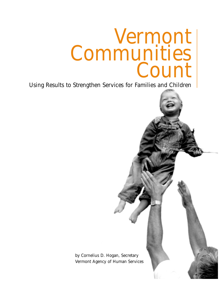# Vermont Communities Count

Using Results to Strengthen Services for Families and Children

by Cornelius D. Hogan, Secretary Vermont Agency of Human Services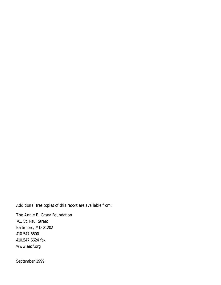*Additional free copies of this report are available from:*

The Annie E. Casey Foundation 701 St. Paul Street Baltimore, MD 21202 410.547.6600 410.547.6624 fax www.aecf.org

September 1999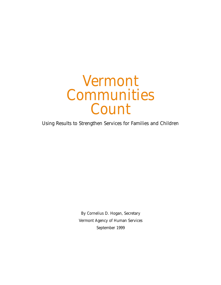# Vermont Communities Count

Using Results to Strengthen Services for Families and Children

By Cornelius D. Hogan, Secretary Vermont Agency of Human Services September 1999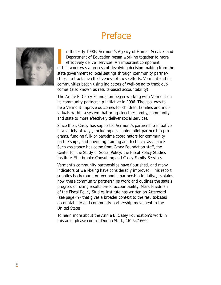# Preface



In the early 1990s, Vermont's Agency of Human Services and Department of Education began working together to more effectively deliver services. An important component of this work was a process of devolving decision-making n the early 1990s, Vermont's Agency of Human Services and Department of Education began working together to more effectively deliver services. An important component state government to local settings through community partnerships. To track the effectiveness of these efforts, Vermont and its communities began using indicators of well-being to track outcomes (also known as results-based accountability).

The Annie E. Casey Foundation began working with Vermont on its community partnership initiative in 1996. The goal was to help Vermont improve outcomes for children, families and individuals within a system that brings together family, community and state to more effectively deliver social services.

Since then, Casey has supported Vermont's partnership initiative in a variety of ways, including developing pilot partnership programs, funding full- or part-time coordinators for community partnerships, and providing training and technical assistance. Such assistance has come from Casey Foundation staff, the Center for the Study of Social Policy, the Fiscal Policy Studies Institute, Sherbrooke Consulting and Casey Family Services.

Vermont's community partnerships have flourished, and many indicators of well-being have considerably improved. This report supplies background on Vermont's partnership initiative, explains how these community partnerships work and outlines the state's progress on using results-based accountability. Mark Friedman of the Fiscal Policy Studies Institute has written an Afterword (see page 49) that gives a broader context to the results-based accountability and community partnership movement in the United States.

To learn more about the Annie E. Casey Foundation's work in this area, please contact Donna Stark, 410 547-6600.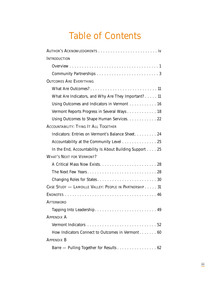# Table of Contents

| <b>INTRODUCTION</b>                                             |
|-----------------------------------------------------------------|
|                                                                 |
|                                                                 |
| <b>OUTCOMES ARE EVERYTHING</b>                                  |
|                                                                 |
| What Are Indicators, and Why Are They Important? 11             |
| Using Outcomes and Indicators in Vermont 16                     |
| Vermont Reports Progress in Several Ways 18                     |
| Using Outcomes to Shape Human Services. 22                      |
| <b>ACCOUNTABILITY: TYING IT ALL TOGETHER</b>                    |
| Indicators: Entries on Vermont's Balance Sheet 24               |
| Accountability at the Community Level 25                        |
| In the End, Accountability Is About Building Support $\dots$ 25 |
| <b>WHAT'S NEXT FOR VERMONT?</b>                                 |
|                                                                 |
|                                                                 |
|                                                                 |
| CASE STUDY - LAMOILLE VALLEY: PEOPLE IN PARTNERSHIP 31          |
|                                                                 |
| <b>AFTERWORD</b>                                                |
|                                                                 |
| <b>APPENDIX A</b>                                               |
|                                                                 |
| How Indicators Connect to Outcomes in Vermont 60                |
| <b>APPENDIX B</b>                                               |
| Barre - Pulling Together for Results 62                         |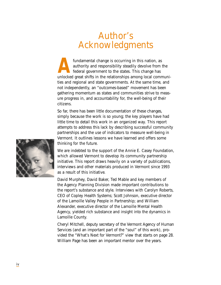# Author's Acknowledgments

fundamental change is occurring in this nation, as<br>authority and responsibility steadily devolve from the<br>federal government to the states. This change has<br>unlocked great shifts in the relationships among local communiauthority and responsibility steadily devolve from the federal government to the states. This change has ties and regional and state governments. At the same time, and not independently, an "outcomes-based" movement has been gathering momentum as states and communities strive to measure progress in, and accountability for, the well-being of their citizens.

So far, there has been little documentation of these changes, simply because the work is so young; the key players have had little time to detail this work in an organized way. This report attempts to address this lack by describing successful community partnerships and the use of indicators to measure well-being in Vermont. It outlines lessons we have learned and offers some thinking for the future.

We are indebted to the support of the Annie E. Casey Foundation, which allowed Vermont to develop its community partnership initiative. This report draws heavily on a variety of publications, interviews and other materials produced in Vermont since 1993 as a result of this initiative.

David Murphey, David Baker, Ted Mable and key members of the Agency Planning Division made important contributions to the report's substance and style. Interviews with Carolyn Roberts, CEO of Copley Health Systems; Scott Johnson, executive director of the Lamoille Valley People in Partnership; and William Alexander, executive director of the Lamoille Mental Health Agency, yielded rich substance and insight into the dynamics in Lamoille County.

Cheryl Mitchell, deputy secretary of the Vermont Agency of Human Services (and an important part of the "soul" of this work), provided the "What's Next for Vermont?" view that starts on page 28. William Page has been an important mentor over the years.

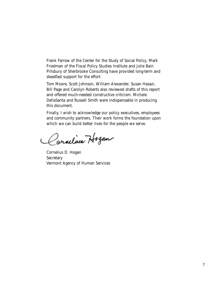Frank Farrow of the Center for the Study of Social Policy, Mark Friedman of the Fiscal Policy Studies Institute and Jolie Bain Pillsbury of Sherbrooke Consulting have provided long-term and steadfast support for the effort.

Tom Moore, Scott Johnson, William Alexander, Susan Hasazi, Bill Page and Carolyn Roberts also reviewed drafts of this report and offered much-needed constructive criticism. Michele DellaSanta and Russell Smith were indispensable in producing this document.

Finally, I wish to acknowledge our policy executives, employees and community partners. Their work forms the foundation upon which we can build better lives for the people we serve.

Carneline Hogan

Cornelius D. Hogan Secretary Vermont Agency of Human Services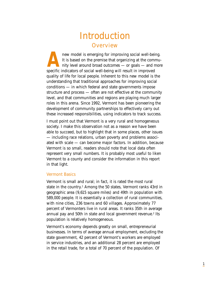# Introduction **Overview**

**A**new model is emerging for improving social well-being. It is based on the premise that organizing at the community level around broad outcomes — or goals — and more specific indicators of social well-being will result in improved quality of life for local people. Inherent to this new model is the understanding that traditional approaches for improving social conditions — in which federal and state governments impose structure and process — often are not effective at the community level, and that communities and regions are playing much larger roles in this arena. Since 1992, Vermont has been pioneering the development of community partnerships to effectively carry out these increased responsibilities, using indicators to track success.

I must point out that Vermont is a very rural and homogeneous society. I make this observation not as a reason we have been able to succeed, but to highlight that in some places, other issues — including race relations, urban poverty and problems associated with scale — can become major factors. In addition, because Vermont is so small, readers should note that local data often represent very small numbers. It is probably most useful to liken Vermont to a county and consider the information in this report in that light.

#### Vermont Basics

Vermont is small and rural; in fact, it is rated the most rural state in the country.<sup>1</sup> Among the 50 states, Vermont ranks 43rd in geographic area (9,615 square miles) and 49th in population with 589,000 people. It is essentially a collection of rural communities, with nine cities, 236 towns and 60 villages. Approximately 77 percent of Vermonters live in rural areas. It ranks 35th in average annual pay and 50th in state and local government revenue.<sup>2</sup> Its population is relatively homogeneous.

Vermont's economy depends greatly on small, entrepreneurial businesses. In terms of average annual employment, excluding the state government, 42 percent of Vermont's workers are employed in service industries, and an additional 28 percent are employed in the retail trade, for a total of 70 percent of the population. Of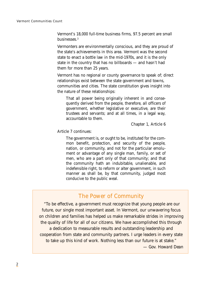Vermont's 18,000 full-time business firms, 97.5 percent are small businesses.3

Vermonters are environmentally conscious, and they are proud of the state's achievements in this area. Vermont was the second state to enact a bottle law in the mid-1970s, and it is the only state in the country that has no billboards — and hasn't had them for more than 25 years.

Vermont has no regional or county governance to speak of; direct relationships exist between the state government and towns, communities and cities. The state constitution gives insight into the nature of these relationships:

That all power being originally inherent in and consequently derived from the people, therefore, all officers of government, whether legislative or executive, are their trustees and servants; and at all times, in a legal way, accountable to them.

Chapter 1, Article 6

Article 7 continues:

The government is, or ought to be, instituted for the common benefit, protection, and security of the people, nation, or community, and not for the particular emolument or advantage of any single man, family, or set of men, who are a part only of that community; and that the community hath an indubitable, unalienable, and indefensible right, to reform or alter government, in such manner as shall be, by that community, judged most conducive to the public weal.

### The Power of Community

"To be effective, a government must recognize that young people are our future, our single most important asset. In Vermont, our unwavering focus on children and families has helped us make remarkable strides in improving the quality of life for all of our citizens. We have accomplished this through a dedication to measurable results and outstanding leadership and cooperation from state and community partners. I urge leaders in every state to take up this kind of work. Nothing less than our future is at stake." *— Gov. Howard Dean*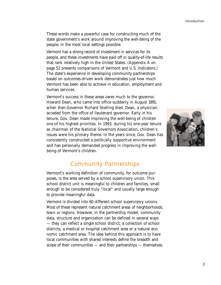These words make a powerful case for constructing much of the state government's work around improving the well-being of the people, in the most local settings possible.

Vermont has a strong record of investment in services for its people, and these investments have paid off in quality-of-life results that rank relatively high in the United States. (Appendix A on page 52 presents comparisons of Vermont and U.S. indicators.) The state's experience in developing community partnerships based on outcomes-driven work demonstrates just how much Vermont has been able to achieve in education, employment and human services.

Vermont's success in these areas owes much to the governor, Howard Dean, who came into office suddenly in August 1991, when then-Governor Richard Snelling died. Dean, a physician, acceded from the office of lieutenant governor. Early in his tenure, Gov. Dean made improving the well-being of children one of his highest priorities. In 1993, during his one-year tenure as chairman of the National Governors Association, children's issues were his primary theme. In the years since, Gov. Dean has consistently constructed a politically supportive environment and has personally demanded progress in improving the wellbeing of Vermont's children.



### Community Partnerships

Vermont's working definition of community, for outcome purposes, is the area served by a school supervisory union. This school district unit is meaningful to children and families, small enough to be considered truly "local" and usually large enough to provide meaningful data.

Vermont is divided into 60 different school supervisory unions. Most of these represent natural catchment areas of neighborhoods, town or regions. However, in the partnership model, community data, structure and organization can be defined in several ways — they can reflect a single school district, a collection of school districts, a medical or hospital catchment area or a natural economic catchment area. The idea behind this approach is to have local communities with shared interests define the breadth and scope of their communities — and their partnerships — themselves.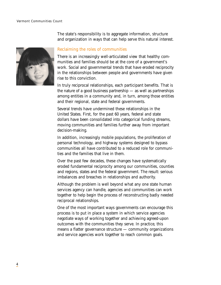

The state's responsibility is to aggregate information, structure and organization in ways that can help serve this natural interest.

#### Reclaiming the roles of communities

There is an increasingly well-articulated view that healthy communities and families should be at the core of a government's work. Social and governmental trends that have eroded reciprocity in the relationships between people and governments have given rise to this conviction.

In truly reciprocal relationships, each participant benefits. That is the nature of a good business partnership — as well as partnerships among entities in a community and, in turn, among those entities and their regional, state and federal governments.

Several trends have undermined these relationships in the United States. First, for the past 60 years, federal and state dollars have been consolidated into categorical funding streams, moving communities and families further away from important decision-making.

In addition, increasingly mobile populations, the proliferation of personal technology, and highway systems designed to bypass communities all have contributed to a reduced role for communities and the families that live in them.

Over the past few decades, these changes have systematically eroded fundamental reciprocity among our communities, counties and regions, states and the federal government. The result: serious imbalances and breaches in relationships and authority.

Although the problem is well beyond what any one state human services agency can handle, agencies and communities can work together to help begin the process of reconstructing badly needed reciprocal relationships.

One of the most important ways governments can encourage this process is to put in place a system in which service agencies negotiate ways of working together and achieving agreed-upon outcomes with the communities they serve. In practice, this means a flatter governance structure — community organizations and service agencies work together to reach common goals.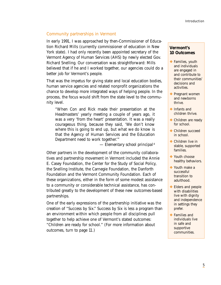#### Community partnerships in Vermont

In early 1991, I was approached by then-Commissioner of Education Richard Mills (currently commissioner of education in New York state). I had only recently been appointed secretary of the Vermont Agency of Human Services (AHS) by newly elected Gov. Richard Snelling. Our conversation was straightforward: Mills believed that if he and I worked together, our agencies could do a better job for Vermont's people.

That was the impetus for giving state and local education bodies, human service agencies and related nonprofit organizations the chance to develop more integrated ways of helping people. In the process, the focus would shift from the state level to the community level.

"When Con and Rick made their presentation at the Headmasters' yearly meeting a couple of years ago, it was a very 'from the heart' presentation. It was a really courageous thing, because they said, 'We don't know where this is going to end up, but what we do know is that the Agency of Human Services and the Education Department need to work together.'"

*— Elementary school principal* <sup>4</sup>

Other partners in the development of the community collaboratives and partnership movement in Vermont included the Annie E. Casey Foundation, the Center for the Study of Social Policy, the Snelling Institute, the Carnegie Foundation, the Danforth Foundation and the Vermont Community Foundation. Each of these organizations, either in the form of some modest assistance to a community or considerable technical assistance, has contributed greatly to the development of these new outcomes-based partnerships.

One of the early expressions of the partnership initiative was the creation of "Success by Six." Success by Six is less a program than an environment within which people from all disciplines pull together to help achieve one of Vermont's stated outcomes: "Children are ready for school." (For more information about outcomes, turn to page 11.)

#### **Vermont's 10 Outcomes**

- ❖ Families, youth and individuals are engaged in and contribute to their communities' decisions and activities.
- **❖ Pregnant women** and newborns thrive.
- ❖ Infants and children thrive.
- ❖ Children are ready for school.
- ❖ Children succeed in school.
- ❖ Children live in stable, supported families.
- ❖ Youth choose healthy behaviors.
- ❖ Youth make a successful transition to adulthood.
- ❖ Elders and people with disabilities live with dignity and independence in settings they prefer.
- ❖ Families and individuals live in safe and supportive communities.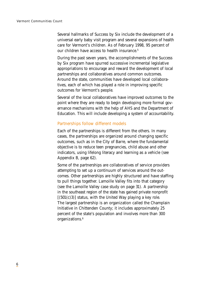Several hallmarks of Success by Six include the development of a universal early baby visit program and several expansions of health care for Vermont's children. As of February 1998, 95 percent of our children have access to health insurance.<sup>5</sup>

During the past seven years, the accomplishments of the Success by Six program have spurred successive incremental legislative appropriations to encourage and reward the development of local partnerships and collaboratives around common outcomes. Around the state, communities have developed local collaboratives, each of which has played a role in improving specific outcomes for Vermont's people.

Several of the local collaboratives have improved outcomes to the point where they are ready to begin developing more formal governance mechanisms with the help of AHS and the Department of Education. This will include developing a system of accountability.

#### Partnerships follow different models

Each of the partnerships is different from the others. In many cases, the partnerships are organized around changing specific outcomes, such as in the City of Barre, where the fundamental objective is to reduce teen pregnancies, child abuse and other indicators, using lifelong literacy and learning as a vehicle (see Appendix B, page 62).

Some of the partnerships are collaboratives of service providers attempting to set up a continuum of services around the outcomes. Other partnerships are highly structured and have staffing to pull things together. Lamoille Valley fits into that category (see the Lamoille Valley case study on page 31). A partnership in the southeast region of the state has gained private nonprofit  $[(501(c)3)]$  status, with the United Way playing a key role. The largest partnership is an organization called the Champlain Initiative in Chittenden County; it includes approximately 25 percent of the state's population and involves more than 300 organizations.<sup>6</sup>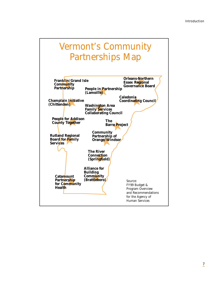# Vermont's Community Partnerships Map

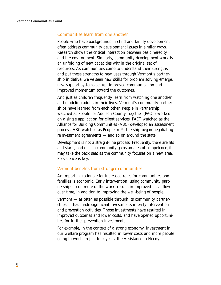#### Communities learn from one another

People who have backgrounds in child and family development often address community development issues in similar ways. Research shows the critical interaction between basic heredity and the environment. Similarly, community development work is an unfolding of new capacities within the original set of resources. As communities come to understand their strengths and put these strengths to new uses through Vermont's partnership initiative, we've seen new skills for problem solving emerge, new support systems set up, improved communication and improved momentum toward the outcomes.

And just as children frequently learn from watching one another and modeling adults in their lives, Vermont's community partnerships have learned from each other. People in Partnership watched as People for Addison County Together (PACT) worked on a single application for client services. PACT watched as the Alliance for Building Communities (ABC) developed an assessment process. ABC watched as People in Partnership began negotiating reinvestment agreements — and so on around the state.

Development is not a straight-line process. Frequently, there are fits and starts, and once a community gains an area of competence, it may take the back seat as the community focuses on a new area. Persistence is key.

#### Vermont benefits from stronger communities

An important rationale for increased roles for communities and families is economic. Early intervention, using community partnerships to do more of the work, results in improved fiscal flow over time, in addition to improving the well-being of people.

Vermont — as often as possible through its community partnerships — has made significant investments in early intervention and prevention activities. Those investments have resulted in improved outcomes and lower costs, and have opened opportunities for further prevention investments.

For example, in the context of a strong economy, investment in our welfare program has resulted in lower costs and more people going to work. In just four years, the Assistance to Needy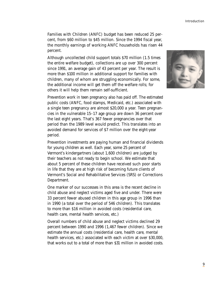Introduction

Families with Children (ANFC) budget has been reduced 25 percent, from \$60 million to \$45 million. Since the 1994 fiscal year, the monthly earnings of working ANFC households has risen 44 percent.

Although uncollected child support totals \$70 million (1.5 times the entire welfare budget), collections are up over 300 percent since 1991, an average gain of 43 percent per year. The result is more than \$100 million in additional support for families with children, many of whom are struggling economically. For some, the additional income will get them off the welfare rolls; for others it will help them remain self-sufficient.

Prevention work in teen pregnancy also has paid off. The estimated public costs (ANFC, food stamps, Medicaid, etc.) associated with a single teen pregnancy are almost \$20,000 a year. Teen pregnancies in the vulnerable 15–17 age group are down 36 percent over the last eight years. That's 367 fewer pregnancies over that period than the 1989 level would predict. This translates into an avoided demand for services of \$7 million over the eight-year period.

Prevention investments are paying human and financial dividends for young children as well. Each year, some 25 percent of Vermont's kindergartners (about 1,600 children) are judged by their teachers as not ready to begin school. We estimate that about 5 percent of these children have received such poor starts in life that they are at high risk of becoming future clients of Vermont's Social and Rehabilitative Services (SRS) or Corrections Department.

One marker of our successes in this area is the recent decline in child abuse and neglect victims aged five and under. There were 33 percent fewer abused children in this age group in 1996 than in 1990 (a total over the period of 546 children). This translates to more than \$16 million in avoided costs (residential care, health care, mental health services, etc.)

Overall numbers of child abuse and neglect victims declined 29 percent between 1990 and 1996 (1,467 fewer children). Since we estimate the annual costs (residential care, health care, mental health services, etc.) associated with each victim at over \$30,000, that works out to a total of more than \$31 million in avoided costs.

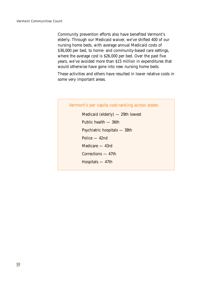Community prevention efforts also have benefited Vermont's elderly. Through our Medicaid waiver, we've shifted 400 of our nursing home beds, with average annual Medicaid costs of \$36,000 per bed, to home- and community-based care settings, where the average cost is \$26,000 per bed. Over the past five years, we've avoided more than \$15 million in expenditures that would otherwise have gone into new nursing home beds.

These activities and others have resulted in lower relative costs in some very important areas.

# Vermont's per capita cost-ranking across states Medicaid (elderly) — 29th lowest Public health — 36th Psychiatric hospitals — 38th Police — 42nd Medicare — 43rd Corrections — 47th Hospitals — 47th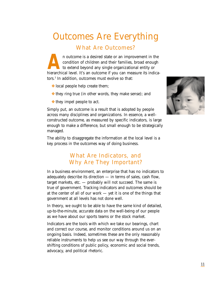# Outcomes Are Everything

What Are Outcomes?

An outcome is a desired state or an improvement in the condition of children and their families, broad enough to extend beyond any single organizational entity or hierarchical level. It's an outcome if you can measure its condition of children and their families, broad enough to extend beyond any single organizational entity or tors.7 In addition, outcomes must evolve so that:

- ❖ local people help create them;
- ❖ they ring true (in other words, they make sense); and
- ❖ they impel people to act.

Simply put, an outcome is a result that is adopted by people across many disciplines and organizations. In essence, a wellconstructed outcome, as measured by specific indicators, is large enough to make a difference, but small enough to be strategically managed.

The ability to disaggregate the information at the local level is a key process in the outcomes way of doing business.

## What Are Indicators, and Why Are They Important?

In a business environment, an enterprise that has no indicators to adequately describe its direction — in terms of sales, cash flow, target markets, etc. — probably will not succeed. The same is true of government. Tracking indicators and outcomes should be at the center of all of our work — yet it is one of the things that government at all levels has not done well.

In theory, we ought to be able to have the same kind of detailed, up-to-the-minute, accurate data on the well-being of our people as we have about our sports teams or the stock market.

Indicators are the tools with which we take our bearings, chart and correct our course, and monitor conditions around us on an ongoing basis. Indeed, sometimes these are the only reasonably reliable instruments to help us see our way through the evershifting conditions of public policy, economic and social trends, advocacy, and political rhetoric.

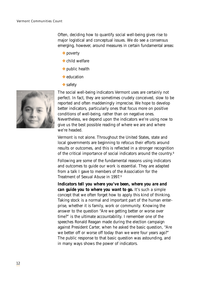Often, deciding how to quantify social well-being gives rise to major logistical and conceptual issues. We do see a consensus emerging, however, around measures in certain fundamental areas:

- ❖ poverty
- ❖ child welfare
- ❖ public health
- **❖** education
- ❖ safety

The social well-being indicators Vermont uses are certainly not perfect. In fact, they are sometimes crudely conceived, slow to be reported and often maddeningly imprecise. We hope to develop better indicators, particularly ones that focus more on positive conditions of well-being, rather than on negative ones. Nevertheless, we depend upon the indicators we're using now to give us the best possible reading of where we are and where we're headed.

Vermont is not alone. Throughout the United States, state and local governments are beginning to refocus their efforts around results or outcomes, and this is reflected in a stronger recognition of the critical importance of social indicators around the country.8

Following are some of the fundamental reasons using indicators and outcomes to guide our work is essential. They are adapted from a talk I gave to members of the Association for the Treatment of Sexual Abuse in 1997. <sup>9</sup>

*Indicators tell you where you've been, where you are and can guide you to where you want to go.* It's such a simple concept that we often forget how to apply this kind of thinking. Taking stock is a normal and important part of the human enterprise, whether it is family, work or community. Knowing the answer to the question "Are we getting better or worse over time?" is the ultimate accountability. I remember one of the speeches Ronald Reagan made during the election campaign against President Carter, when he asked the basic question, "Are we better off or worse off today than we were four years ago?" The public response to that basic question was astounding, and in many ways shows the power of indicators.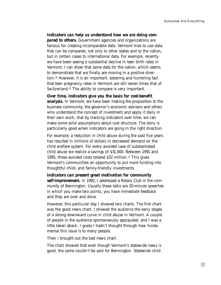#### *Indicators can help us understand how we are doing com-*

*pared to others.* Government agencies and organizations are famous for creating incomparable data. Vermont tries to use data that can be compared, not only to other states and to the nation, but in certain cases to international data. For example, recently we have been seeing a substantial decline in teen birth rates in Vermont. I can show that same data for the nation, which seems to demonstrate that we finally are moving in a positive direction.10 However, it is an important, sobering and humbling fact that teen pregnancy rates in Vermont are still seven times that of Switzerland.<sup>11</sup> The ability to compare is very important.

*Over time, indicators give you the basis for cost-benefit analysis.* In Vermont, we have been making the proposition to the business community, the governor's economic advisors and others who understand the concept of investment and apply it daily in their own work, that by tracking indicators over time, we can make some solid assumptions about cost structure. The story is particularly good when indicators are going in the right direction.

For example, a reduction in child abuse during the past five years has resulted in millions of dollars in decreased demand on the child welfare system. For every avoided case of substantiated child abuse we realize a savings of \$31,000. Between 1991 and 1995, these avoided costs totaled \$32 million.12 This gives Vermont's communities an opportunity to put more funding into thoughtful child- and family-friendly investments.

*Indicators can present great motivation for community self-improvement.* In 1992, I addressed a Rotary Club in the community of Bennington. Usually these talks are 20-minute speeches in which you make two points, you have immediate feedback and they are over and done.

However, this particular day I showed two charts. The first chart was the good news chart. I showed the audience the early stages of a strong downward curve in child abuse in Vermont. A couple of people in the audience spontaneously applauded, and I was a little taken aback. I guess I hadn't thought through how fundamental this issue is to many people.

Then I brought out the bad news chart.

The chart showed that even though Vermont's statewide news is good, the same couldn't be said for Bennington. Statewide child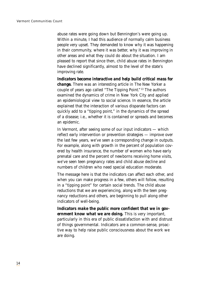abuse rates were going down but Bennington's were going up. Within a minute, I had this audience of normally calm business people very upset. They demanded to know why it was happening in their community, where it was better, why it was improving in other areas and what they could do about the situation. I am pleased to report that since then, child abuse rates in Bennington have declined significantly, almost to the level of the state's improving rate.

*Indicators become interactive and help build critical mass for change.* There was an interesting article in *The New Yorker* a couple of years ago called "The Tipping Point." <sup>13</sup> The authors examined the dynamics of crime in New York City and applied an epidemiological view to social science. In essence, the article explained that the interaction of various disparate factors can quickly add to a "tipping point," in the dynamics of the spread of a disease; i.e., whether it is contained or spreads and becomes an epidemic.

In Vermont, after seeing some of our input indicators — which reflect early intervention or prevention strategies — improve over the last few years, we've seen a corresponding change in outputs. For example, along with growth in the percent of population covered by health insurance, the number of women who have early prenatal care and the percent of newborns receiving home visits, we've seen teen pregnancy rates and child abuse decline and numbers of children who need special education moderate.

The message here is that the indicators can affect each other, and when you can make progress in a few, others will follow, resulting in a "tipping point" for certain social trends. The child abuse reductions that we are experiencing, along with the teen pregnancy reductions and others, are beginning to pull along other indicators of well-being.

*Indicators make the public more confident that we in government know what we are doing.* This is very important, particularly in this era of public dissatisfaction with and distrust of things governmental. Indicators are a common-sense, proactive way to help raise public consciousness about the work we are doing.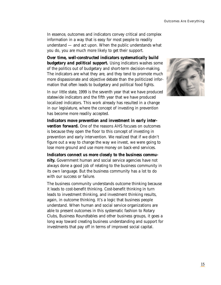In essence, outcomes and indicators convey critical and complex information in a way that is easy for most people to readily understand — and act upon. When the public understands what you do, you are much more likely to get their support.

*Over time, well-constructed indicators systematically build budgetary and political support.* Using indicators washes some of the politics out of budgetary and short-term decision-making. The indicators are what they are, and they tend to promote much more dispassionate and objective debate than the politicized information that often leads to budgetary and political food fights.

In our little state, 1999 is the seventh year that we have produced statewide indicators and the fifth year that we have produced localized indicators. This work already has resulted in a change in our legislature, where the concept of investing in prevention has become more readily accepted.

*Indicators move prevention and investment in early intervention forward.* One of the reasons AHS focuses on outcomes is because they open the floor to this concept of investing in prevention and early intervention. We realized that if we didn't figure out a way to change the way we invest, we were going to lose more ground and use more money on back-end services.

*Indicators connect us more closely to the business community.* Government human and social service agencies have not always done a good job of relating to the business community in its own language. But the business community has a lot to do with our success or failure.

The business community understands outcome thinking because it leads to cost-benefit thinking. Cost-benefit thinking in turn leads to investment thinking, and investment thinking results, again, in outcome thinking. It's a logic that business people understand. When human and social service organizations are able to present outcomes in this systematic fashion to Rotary Clubs, Business Roundtables and other business groups, it goes a long way toward creating business understanding and support for investments that pay off in terms of improved social capital.

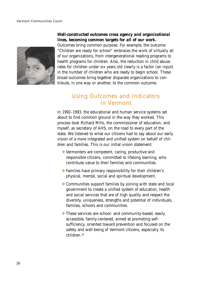

#### *Well-constructed outcomes cross agency and organizational lines, becoming common targets for all of our work.*

Outcomes bring common purpose. For example, the outcome "Children are ready for school" embraces the work of virtually all of our organizations, from intergenerational reading programs to health programs for children. Also, the reduction in child abuse rates for children under six years old clearly is a factor (an input) in the number of children who are ready to begin school. These broad outcomes bring together disparate organizations to contribute, in one way or another, to the common outcome.

## Using Outcomes and Indicators in Vermont

In 1992–1993, the educational and human service systems set about to find common ground in the way they worked. This process took Richard Mills, the commissioner of education, and myself, as secretary of AHS, on the road to every part of the state. We listened to what our citizens had to say about our early vision of a more integrated and unified system on behalf of children and families. This is our initial vision statement:

- ❖ Vermonters are competent, caring, productive and responsible citizens, committed to lifelong learning, who contribute value to their families and communities.
- ❖ Families have primary responsibility for their children's physical, mental, social and spiritual development.
- ❖ Communities support families by joining with state and local government to create a unified system of education, health and social services that are of high quality and respect the diversity, uniqueness, strengths and potential of individuals, families, schools and communities.
- ❖ These services are school- and community-based, easily accessible, family-centered, aimed at promoting selfsufficiency, oriented toward prevention and focused on the safety and well-being of Vermont citizens, especially its children.14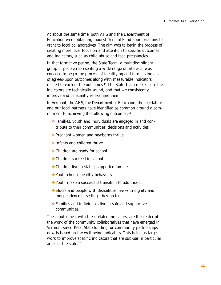At about the same time, both AHS and the Department of Education were obtaining modest General Fund appropriations to grant to local collaboratives. The aim was to begin the process of creating more local focus on and attention to specific outcomes and indicators, such as child abuse and teen pregnancies.

In that formative period, the State Team, a multidisciplinary group of people representing a wide range of interests, was engaged to begin the process of identifying and formalizing a set of agreed-upon outcomes along with measurable indicators related to each of the outcomes.15 The State Team makes sure the indicators are technically sound, and that we consistently improve and constantly re-examine them.

In Vermont, the AHS, the Department of Education, the legislature and our local partners have identified as common ground a commitment to achieving the following outcomes:<sup>16</sup>

- ❖ Families, youth and individuals are engaged in and contribute to their communities' decisions and activities.
- ❖ Pregnant women and newborns thrive.
- ❖ Infants and children thrive.
- ❖ Children are ready for school.
- ❖ Children succeed in school.
- ❖ Children live in stable, supported families.
- ❖ Youth choose healthy behaviors.
- ❖ Youth make a successful transition to adulthood.
- ❖ Elders and people with disabilities live with dignity and independence in settings they prefer.
- ❖ Families and individuals live in safe and supportive communities.

These outcomes, with their related indicators, are the center of the work of the community collaboratives that have emerged in Vermont since 1993. State funding for community partnerships now is based on the well-being indicators. This helps us target work to improve specific indicators that are sub-par in particular areas of the state.17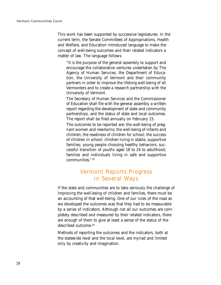This work has been supported by successive legislatures. In the current term, the Senate Committees of Appropriations, Health and Welfare, and Education introduced language to make the concept of well-being outcomes and their related indicators a matter of law. The language follows:

"It is the purpose of the general assembly to support and encourage the collaborative ventures undertaken by The Agency of Human Services, the Department of Education, the University of Vermont and their community partners in order to improve the lifelong well-being of all Vermonters and to create a research partnership with the University of Vermont.

The Secretary of Human Services and the Commissioner of Education shall file with the general assembly a written report regarding the development of state and community partnerships, and the status of state and local outcomes. The report shall be filed annually on February 15.

The outcomes to be reported are: the well-being of pregnant women and newborns; the well-being of infants and children; the readiness of children for school; the success of children in school; children living in stable, supportive families; young people choosing healthy behaviors; successful transition of youths aged 18 to 24 to adulthood; families and individuals living in safe and supportive communities." <sup>18</sup>

## Vermont Reports Progress in Several Ways

If the state and communities are to take seriously the challenge of improving the well-being of children and families, there must be an accounting of that well-being. One of our rules of the road as we developed the outcomes was that they had to be measurable by a series of indicators. Although not all our outcomes are completely described and measured by their related indicators, there are enough of them to give at least a sense of the status of the described outcome.19

Methods of reporting the outcomes and the indicators, both at the statewide level and the local level, are myriad and limited only by creativity and imagination.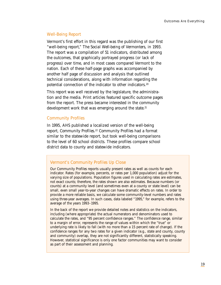#### Well-Being Report

Vermont's first effort in this regard was the publishing of our first "well-being report," *The Social Well-being of Vermonters,* in 1993. The report was a compilation of 51 indicators, distributed among the outcomes, that graphically portrayed progress (or lack of progress) over time, and in most cases compared Vermont to the nation. Each of these half-page graphs was accompanied by another half page of discussion and analysis that outlined technical considerations, along with information regarding the potential connection of the indicator to other indicators.20

This report was well received by the legislature, the administration and the media. Print articles featured specific outcome pages from the report. The press became interested in the community development work that was emerging around the state.<sup>21</sup>

#### Community Profiles

In 1995, AHS published a localized version of the well-being report, *Community Profiles.*<sup>22</sup> *Community Profiles* had a format similar to the statewide report, but took well-being comparisons to the level of 60 school districts. These profiles compare school district data to county and statewide indicators.

#### Vermont's *Community Profiles* Up Close

Our *Community Profiles* reports usually present rates as well as counts for each indicator. Rates (for example, percents, or rates per 1,000 population) adjust for the varying size of populations. Population figures used in calculating rates are estimates, not exact counts; therefore, the rates shown are also estimates. Because numbers (or counts) at a community level (and sometimes even at a county or state level) can be small, even small year-to-year changes can have dramatic effects on rates. In order to provide a more reliable basis, we calculate some community-level numbers and rates using three-year averages. In such cases, data labeled "1995," for example, refers to the average of the years 1993–1995.

In the back of the report we provide detailed notes and statistics on the indicators, including (where appropriate) the actual numerators and denominators used to calculate the rates, and "95 percent confidence ranges." The confidence range, similar to a margin of error, represents the range of values within which the "true" or underlying rate is likely to fall (with no more than a 15 percent rate of change). If the confidence ranges for any two rates for a given indicator (e.g., state and county, county and community) overlap, they are not significantly different, statistically speaking. However, statistical significance is only one factor communities may want to consider as part of their assessment and planning.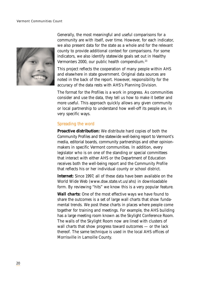

Generally, the most meaningful and useful comparisons for a community are with itself, over time. However, for each indicator, we also present data for the state as a whole and for the relevant county to provide additional context for comparisons. For some indicators, we also identify statewide goals set out in *Healthy Vermonters 2000,* our public health compendium.23

This project reflects the cooperation of many people within AHS and elsewhere in state government. Original data sources are noted in the back of the report. However, responsibility for the accuracy of the data rests with AHS's Planning Division.

The format for the *Profiles* is a work in progress. As communities consider and use the data, they tell us how to make it better and more useful. This approach quickly allows any given community or local partnership to understand how well-off its people are, in very specific ways.

#### Spreading the word

*Proactive distribution:* We distribute hard copies of both the *Community Profiles* and the statewide well-being report to Vermont's media, editorial boards, community partnerships and other opinionmakers in specific Vermont communities. In addition, every legislator who is on one of the standing or special committees that interact with either AHS or the Department of Education receives both the well-being report and the *Community Profile* that reflects his or her individual county or school district.

*Internet:* Since 1997, all of these data have been available on the World Wide Web (www.dsw.state.vt.us/ahs) in downloadable form. By reviewing "hits" we know this is a very popular feature.

*Wall charts:* One of the most effective ways we have found to share the outcomes is a set of large wall charts that show fundamental trends. We post these charts in places where people come together for training and meetings. For example, the AHS building has a large meeting room known as the Skylight Conference Room. The walls of the Skylight Room now are lined with clusters of wall charts that show progress toward outcomes — or the lack thereof. The same technique is used in the local AHS offices of Morrisville in Lamoille County.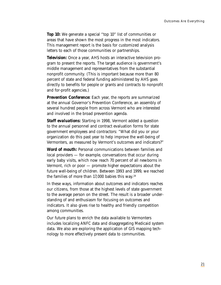*Top 10:* We generate a special "top 10" list of communities or areas that have shown the most progress in the most indicators. This management report is the basis for customized analysis letters to each of those communities or partnerships.

*Television:* Once a year, AHS hosts an interactive television program to present the reports. The target audience is government's middle management and representatives from the substantial nonprofit community. (This is important because more than 80 percent of state and federal funding administered by AHS goes directly to benefits for people or grants and contracts to nonprofit and for-profit agencies.)

**Prevention Conference:** Each year, the reports are summarized at the annual Governor's Prevention Conference, an assembly of several hundred people from across Vermont who are interested and involved in the broad prevention agenda.

*Staff evaluations:* Starting in 1998, Vermont added a question to the annual personnel and contract evaluation forms for state government employees and contractors: "What did you or your organization do this past year to help improve the well-being of Vermonters, as measured by Vermont's outcomes and indicators?"

*Word of mouth:* Personal communications between families and local providers — for example, conversations that occur during early baby visits, which now reach 70 percent of all newborns in Vermont, rich or poor — promote higher expectations about the future well-being of children. Between 1993 and 1999, we reached the families of more than  $17,000$  babies this way.<sup>24</sup>

In these ways, information about outcomes and indicators reaches our citizens, from those at the highest levels of state government to the average person on the street. The result is a broader understanding of and enthusiasm for focusing on outcomes and indicators. It also gives rise to healthy and friendly competition among communities.

Our future plans to enrich the data available to Vermonters includes localizing ANFC data and disaggregating Medicaid system data. We also are exploring the application of GIS mapping technology to more effectively present data to communities.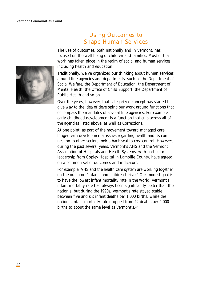

## Using Outcomes to Shape Human Services

The use of outcomes, both nationally and in Vermont, has focused on the well-being of children and families. Most of that work has taken place in the realm of social and human services, including health and education.

Traditionally, we've organized our thinking about human services around line agencies and departments, such as the Department of Social Welfare, the Department of Education, the Department of Mental Health, the Office of Child Support, the Department of Public Health and so on.

Over the years, however, that categorized concept has started to give way to the idea of developing our work around functions that encompass the mandates of several line agencies. For example, early childhood development is a function that cuts across all of the agencies listed above, as well as Corrections.

At one point, as part of the movement toward managed care, longer-term developmental issues regarding health and its connection to other sectors took a back seat to cost control. However, during the past several years, Vermont's AHS and the Vermont Association of Hospitals and Health Systems, with particular leadership from Copley Hospital in Lamoille County, have agreed on a common set of outcomes and indicators.

For example, AHS and the health care system are working together on the outcome "Infants and children thrive." Our modest goal is to have the lowest infant mortality rate in the world. Vermont's infant mortality rate had always been significantly better than the nation's, but during the 1990s, Vermont's rate stayed stable between five and six infant deaths per 1,000 births, while the nation's infant mortality rate dropped from 12 deaths per 1,000 births to about the same level as Vermont's.25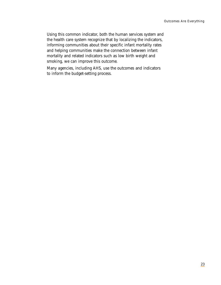Using this common indicator, both the human services system and the health care system recognize that by localizing the indicators, informing communities about their specific infant mortality rates and helping communities make the connection between infant mortality and related indicators such as low birth weight and smoking, we can improve this outcome.

Many agencies, including AHS, use the outcomes and indicators to inform the budget-setting process.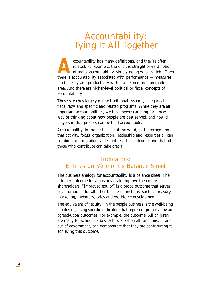# Accountability: Tying It All Together

countability has many definitions, and they're often related. For example, there is the straightforward not of moral accountability, simply doing what is right. There is accountability associated with performance — measure related. For example, there is the straightforward notion of moral accountability, simply doing what is right. Then there is accountability associated with performance — measures of efficiency and productivity within a defined programmatic area. And there are higher-level political or fiscal concepts of accountability.

These sketches largely define traditional systems, categorical fiscal flow and specific and related programs. While they are all important accountabilities, we have been searching for a new way of thinking about how people are best served, and how all players in that process can be held accountable.

Accountability, in the best sense of the word, is the recognition that activity, focus, organization, leadership and resources all can combine to bring about a desired result or outcome, and that all those who contribute can take credit.

## Indicators: Entries on Vermont's Balance Sheet

The business analogy for accountability is a balance sheet. The primary outcome for a business is to improve the equity of shareholders. "Improved equity" is a broad outcome that serves as an umbrella for all other business functions, such as treasury, marketing, inventory, sales and workforce development.

The equivalent of "equity" in the people business is the well-being of citizens, using specific indicators that represent progress toward agreed-upon outcomes. For example, the outcome "All children are ready for school" is best achieved when all functions, in and out of government, can demonstrate that they are contributing to achieving this outcome.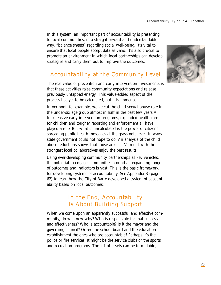In this system, an important part of accountability is presenting to local communities, in a straightforward and understandable way, "balance sheets" regarding social well-being. It's vital to ensure that local people accept data as valid. It's also crucial to promote an environment in which local partnerships can develop strategies and carry them out to improve the outcomes.

## Accountability at the Community Level

The real value of prevention and early intervention investments is that these activities raise community expectations and release previously untapped energy. This value-added aspect of the process has yet to be calculated, but it is immense.

In Vermont, for example, we've cut the child sexual abuse rate in the under-six age group almost in half in the past few years. $26$ Inexpensive early intervention programs, expanded health care for children and tougher reporting and enforcement all have played a role. But what is uncalculated is the power of citizens spreading public health messages at the grassroots level, in ways state government could not hope to do. An analysis of the child abuse reductions shows that those areas of Vermont with the strongest local collaboratives enjoy the best results.

Using ever-developing community partnerships as key vehicles, the potential to engage communities around an expanding range of outcomes and indicators is vast. This is the basic framework for developing systems of accountability. See Appendix B (page 62) to learn how the City of Barre developed a system of accountability based on local outcomes.

## In the End, Accountability Is About Building Support

When we come upon an apparently successful and effective community, do we know why? Who is responsible for that success and effectiveness? Who is accountable? Is it the mayor and the governing council? Or are the school board and the education establishment the ones who are accountable? Perhaps it's the police or fire services. It might be the service clubs or the sports and recreation programs. The list of assets can be formidable,

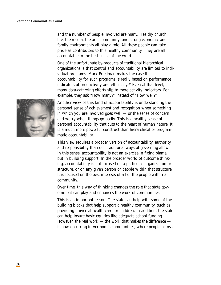and the number of people involved are many. Healthy church life, the media, the arts community, and strong economic and family environments all play a role. All these people can take pride as contributors to this healthy community. They are all accountable in the best sense of the word.

One of the unfortunate by-products of traditional hierarchical organizations is that control and accountability are limited to individual programs. Mark Friedman makes the case that accountability for such programs is really based on performance indicators of productivity and efficiency.<sup>27</sup> Even at that level, many data-gathering efforts slip to mere activity indicators. For example, they ask "How many?" instead of "How well?"



Another view of this kind of accountability is understanding the personal sense of achievement and recognition when something in which you are involved goes well — or the sense of concern and worry when things go badly. This is a healthy sense of personal accountability that cuts to the heart of human nature. It is a much more powerful construct than hierarchical or programmatic accountability.

This view requires a broader version of accountability, authority and responsibility than our traditional ways of governing allow. In this sense, accountability is not an exercise in fixing blame, but in building support. In the broader world of outcome thinking, accountability is not focused on a particular organization or structure, or on any given person or people within that structure. It is focused on the best interests of all of the people within a community.

Over time, this way of thinking changes the role that state government can play and enhances the work of communities.

This is an important lesson. The state can help with some of the building blocks that help support a healthy community, such as providing universal health care for children. In addition, the state can help insure basic equities like adequate school funding. However, the real work — the work that makes the difference is now occurring in Vermont's communities, where people across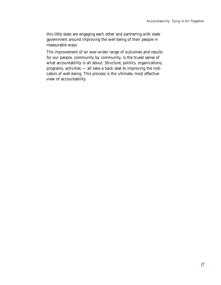this little state are engaging each other and partnering with state government around improving the well-being of their people in measurable ways.

The improvement of an ever-wider range of outcomes and results for our people, community by community, is the truest sense of what accountability is all about. Structure, politics, organizations, programs, activities — all take a back seat to improving the indicators of well-being. This process is the ultimate, most effective view of accountability.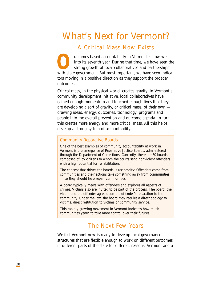# What's Next for Vermont?

## A Critical Mass Now Exists

Unto its seventh year. During that time, we have seen the strong growth of local collaboratives and partnerships with state government. But most important, we have seen indicainto its seventh year. During that time, we have seen the strong growth of local collaboratives and partnerships tors moving in a positive direction as they support the broader outcomes.

Critical mass, in the physical world, creates gravity. In Vermont's community development initiative, local collaboratives have gained enough momentum and touched enough lives that they are developing a sort of gravity, or critical mass, of their own drawing ideas, energy, outcomes, technology, programs and people into the overall prevention and outcome agenda. In turn this creates more energy and more critical mass. All this helps develop a strong system of accountability.

#### Community Reparative Boards

One of the best examples of community accountability at work in Vermont is the emergence of Reparative Justice Boards, administered through the Department of Corrections. Currently, there are 30 boards composed of lay citizens to whom the courts send nonviolent offenders with a high potential for rehabilitation.

The concept that drives the boards is reciprocity: Offenders come from communities and their actions take something away from communities — so they should help repair communities.

A board typically meets with offenders and explores all aspects of crimes. Victims also are invited to be part of the process. The board, the victim and the offender agree upon the offender's reparation to the community. Under the law, the board may require a direct apology to victims, direct restitution to victims or community service.

This rapidly growing movement in Vermont indicates how much communities yearn to take more control over their futures.

### The Next Few Years

We feel Vermont now is ready to develop local governance structures that are flexible enough to work on different outcomes in different parts of the state for different reasons. Vermont and a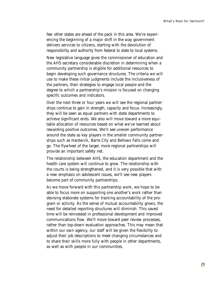few other states are ahead of the pack in this area. We're experiencing the beginning of a major shift in the way government delivers services to citizens, starting with the devolution of responsibility and authority from federal to state to local systems.

New legislative language gives the commissioner of education and the AHS secretary considerable discretion in determining when a community partnership is eligible for additional resources to begin developing such governance structures. The criteria we will use to make these initial judgments include the inclusiveness of the partners, their strategies to engage local people and the degree to which a partnership's mission is focused on changing specific outcomes and indicators.

Over the next three or four years we will see the regional partnerships continue to gain in strength, capacity and focus. Increasingly, they will be seen as equal partners with state departments to achieve significant ends. We also will move toward a more equitable allocation of resources based on what we've learned about rewarding positive outcomes. We'll see uneven performance around the state as key players in the smaller community partnerships such as Hardwick, Barre City and Bellows Falls come and go. The flywheel of the larger, more regional partnerships will provide an important safety net.

The relationship between AHS, the education department and the health care system will continue to grow. The relationship with the courts is being strengthened, and it is very possible that with a new emphasis on adolescent issues, we'll see new players become part of community partnerships.

As we move forward with this partnership work, we hope to be able to focus more on supporting one another's work rather than devising elaborate systems for tracking accountability of the program or activity. As the sense of mutual accountability grows, the need for detailed reporting structures will diminish. This saved time will be reinvested in professional development and improved communications flow. We'll move toward peer review processes, rather than top-down evaluation approaches. This may mean that within our own agency, our staff will be given the flexibility to adjust their job descriptions to meet changing circumstances and to share their skills more fully with people in other departments, as well as with people in our communities.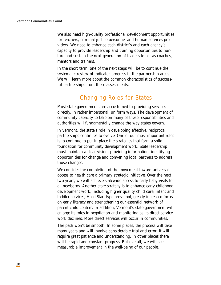We also need high-quality professional development opportunities for teachers, criminal justice personnel and human services providers. We need to enhance each district's and each agency's capacity to provide leadership and training opportunities to nurture and sustain the next generation of leaders to act as coaches, mentors and trainers.

In the short term, one of the next steps will be to continue the systematic review of indicator progress in the partnership areas. We will learn more about the common characteristics of successful partnerships from these assessments.

## Changing Roles for States

Most state governments are accustomed to providing services directly, in rather impersonal, uniform ways. The development of community capacity to take on many of these responsibilities and authorities will fundamentally change the way states govern.

In Vermont, the state's role in developing effective, reciprocal partnerships continues to evolve. One of our most important roles is to continue to put in place the strategies that form a solid foundation for community development work. State leadership must maintain a clear vision, providing information, identifying opportunities for change and convening local partners to address those changes.

We consider the completion of the movement toward universal access to health care a primary strategic initiative. Over the next two years, we will achieve statewide access to early baby visits for all newborns. Another state strategy is to enhance early childhood development work, including higher quality child care, infant and toddler services, Head Start-type preschool, greatly increased focus on early literacy and strengthening our essential network of parent-child centers. In addition, Vermont's state government will enlarge its roles in negotiation and monitoring as its direct service work declines. More direct services will occur in communities.

The path won't be smooth. In some places, the process will take many years and will involve considerable trial and error; it will require great patience and understanding. In other places there will be rapid and constant progress. But overall, we will see measurable improvement in the well-being of our people.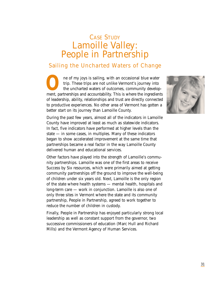# CASE STUDY Lamoille Valley: People in Partnership

## Sailing the Uncharted Waters of Change

**O**ne of my joys is sailing, with an occasional blue water trip. These trips are not unlike Vermont's journey into the uncharted waters of outcomes, community development, partnerships and accountability. This is where the trip. These trips are not unlike Vermont's journey into the uncharted waters of outcomes, community developof leadership, ability, relationships and trust are directly connected to productive experiences. No other area of Vermont has gotten a better start on its journey than Lamoille County.

During the past few years, almost all of the indicators in Lamoille County have improved at least as much as statewide indicators. In fact, five indicators have performed at higher levels than the state — in some cases, in multiples. Many of these indicators began to show accelerated improvement at the same time that partnerships became a real factor in the way Lamoille County delivered human and educational services.

Other factors have played into the strength of Lamoille's community partnerships. Lamoille was one of the first areas to receive Success by Six resources, which were primarily aimed at getting community partnerships off the ground to improve the well-being of children under six years old. Next, Lamoille is the only region of the state where health systems — mental health, hospitals and long-term care — work in conjunction. Lamoille is also one of only three sites in Vermont where the state and its community partnership, People in Partnership, agreed to work together to reduce the number of children in custody.

Finally, People in Partnership has enjoyed particularly strong local leadership as well as constant support from the governor, two successive commissioners of education (Marc Hull and Richard Mills) and the Vermont Agency of Human Services.

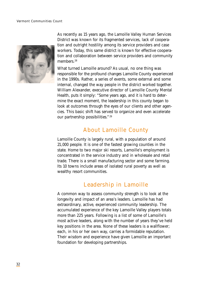

As recently as 15 years ago, the Lamoille Valley Human Services District was known for its fragmented services, lack of cooperation and outright hostility among its service providers and case workers. Today, this same district is known for effective cooperation and collaboration between service providers and community members.<sup>28</sup>

What turned Lamoille around? As usual, no one thing was responsible for the profound changes Lamoille County experienced in the 1990s. Rather, a series of events, some external and some internal, changed the way people in the district worked together. William Alexander, executive director of Lamoille County Mental Health, puts it simply: "Some years ago, and it is hard to determine the exact moment, the leadership in this county began to look at outcomes through the eyes of our clients and other agencies. This basic shift has served to organize and even accelerate our partnership possibilities." <sup>29</sup>

## About Lamoille County

Lamoille County is largely rural, with a population of around 21,000 people. It is one of the fastest growing counties in the state. Home to two major ski resorts, Lamoille's employment is concentrated in the service industry and in wholesale and retail trade. There is a small manufacturing sector and some farming. Its 10 towns include areas of isolated rural poverty as well as wealthy resort communities.

## Leadership in Lamoille

A common way to assess community strength is to look at the longevity and impact of an area's leaders. Lamoille has had extraordinary, active, experienced community leadership. The accumulated experience of the key Lamoille Valley players totals more than 225 years. Following is a list of some of Lamoille's most active leaders, along with the number of years they've held key positions in the area. None of these leaders is a wallflower; each, in his or her own way, carries a formidable reputation. Their wisdom and experience have given Lamoille an important foundation for developing partnerships.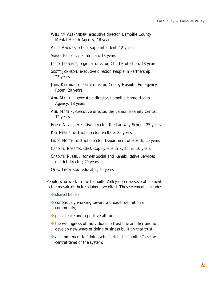- WILLIAM ALEXANDER, executive director, Lamoille County Mental Health Agency; 16 years
- ALICE ANGNEY, school superintendent; 12 years
- SARAH BALLOU, pediatrician; 18 years
- JERRY JEFFORDS, regional director, Child Protection; 18 years
- SCOTT JOHNSON, executive director, People in Partnership; 23 years
- JOHN KAEDING, medical director, Copley Hospital Emergency Room; 20 years
- ANN MALLETT, executive director, Lamoille Home Health Agency; 18 years
- ANN MARTIN, executive director, the Lamoille Family Center; 12 years
- FLOYD NEASE, executive director, the Laraway School; 25 years
- KAY NESKIE, district director, welfare; 25 years
- LINDA NORTH, district director, Department of Health; 10 years
- CAROLYN ROBERTS, CEO, Copley Health Systems; 16 years
- CAROLYN RUSSELL, former Social and Rehabilitative Services district director; 20 years
- OTHO THOMPSON, educator; 10 years

People who work in the Lamoille Valley describe several elements in the mosaic of their collaborative effort. These elements include:

- **❖** shared beliefs:
- ❖ consciously working toward a broader definition of community;
- ❖ persistence and a positive attitude;
- ❖ the willingness of individuals to trust one another and to develop new ways of doing business built on that trust;
- ❖ a commitment to "doing what's right for families" as the central tenet of the system;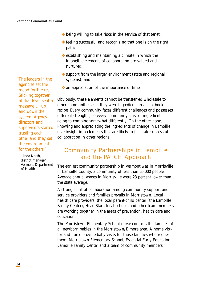"The leaders in the agencies set the mood for the rest. Sticking together at that level sent a message ... up and down the system. Agency directors and supervisors started trusting each other and they set the environment for the others."

— Linda North, district manager, Vermont Department of Health

- ❖ being willing to take risks in the service of that tenet;
- ❖ feeling successful and recognizing that one is on the right path;
- ❖ establishing and maintaining a climate in which the intangible elements of collaboration are valued and nurtured;
- ❖ support from the larger environment (state and regional systems); and
- ❖ an appreciation of the importance of time.

Obviously, these elements cannot be transferred wholesale to other communities as if they were ingredients in a cookbook recipe. Every community faces different challenges and possesses different strengths, so every community's list of ingredients is going to combine somewhat differently. On the other hand, knowing and appreciating the ingredients of change in Lamoille give insight into elements that are likely to facilitate successful collaboration in other regions.

## Community Partnerships in Lamoille and the PATCH Approach

The earliest community partnership in Vermont was in Morrisville in Lamoille County, a community of less than 10,000 people. Average annual wages in Morrisville were 23 percent lower than the state average.

A strong spirit of collaboration among community support and service providers and families prevails in Morristown. Local health care providers, the local parent-child center (the Lamoille Family Center), Head Start, local schools and other team members are working together in the areas of prevention, health care and education.

The Morristown Elementary School nurse contacts the families of all newborn babies in the Morristown/Elmore area. A home visitor and nurse provide baby visits for those families who request them. Morristown Elementary School, Essential Early Education, Lamoille Family Center and a team of community members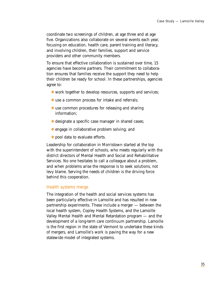coordinate two screenings of children, at age three and at age five. Organizations also collaborate on several events each year, focusing on education, health care, parent training and literacy, and involving children, their families, support and service providers and other community members.

To ensure that effective collaboration is sustained over time, 15 agencies have become partners. Their commitment to collaboration ensures that families receive the support they need to help their children be ready for school. In these partnerships, agencies agree to:

- ❖ work together to develop resources, supports and services;
- ❖ use a common process for intake and referrals;
- ❖ use common procedures for releasing and sharing information;
- ❖ designate a specific case manager in shared cases;
- ❖ engage in collaborative problem solving; and
- ❖ pool data to evaluate efforts.

Leadership for collaboration in Morristown started at the top with the superintendent of schools, who meets regularly with the district directors of Mental Health and Social and Rehabilitative Services. No one hesitates to call a colleague about a problem, and when problems arise the response is to seek solutions, not levy blame. Serving the needs of children is the driving force behind this cooperation.

#### Health systems merge

The integration of the health and social services systems has been particularly effective in Lamoille and has resulted in new partnership experiments. These include a merger — between the local health system, Copley Health Systems, and the Lamoille Valley Mental Health and Mental Retardation program — and the development of a long-term care continuum partnership. Lamoille is the first region in the state of Vermont to undertake these kinds of mergers, and Lamoille's work is paving the way for a new statewide model of integrated systems.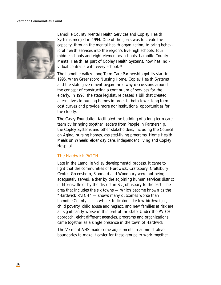#### Vermont Communities Count



Lamoille County Mental Health Services and Copley Health Systems merged in 1994. One of the goals was to create the capacity, through the mental health organization, to bring behavioral health services into the region's five high schools, four middle schools and eight elementary schools. Lamoille County Mental Health, as part of Copley Health Systems, now has individual contracts with every school.<sup>30</sup>

The Lamoille Valley Long-Term Care Partnership got its start in 1995, when Greensboro Nursing Home, Copley Health Systems and the state government began three-way discussions around the concept of constructing a continuum of services for the elderly. In 1996, the state legislature passed a bill that created alternatives to nursing homes in order to both lower long-term cost curves and provide more noninstitutional opportunities for the elderly.

The Casey Foundation facilitated the building of a long-term care team by bringing together leaders from People in Partnership, the Copley Systems and other stakeholders, including the Council on Aging, nursing homes, assisted-living programs, Home Health, Meals on Wheels, elder day care, independent living and Copley Hospital.

#### The Hardwick PATCH

Late in the Lamoille Valley developmental process, it came to light that the communities of Hardwick, Craftsbury, Craftsbury Center, Greensboro, Stannard and Woodbury were not being adequately served, either by the adjoining human services district in Morrisville or by the district in St. Johnsbury to the east. The area that includes the six towns — which became known as the "Hardwick PATCH" — shows many outcomes worse than Lamoille County's as a whole. Indicators like low birthweight, child poverty, child abuse and neglect, and new families at risk are all significantly worse in this part of the state. Under the PATCH approach, eight different agencies, programs and organizations came together as a single presence in the town of Hardwick.

The Vermont AHS made some adjustments in administrative boundaries to make it easier for these groups to work together.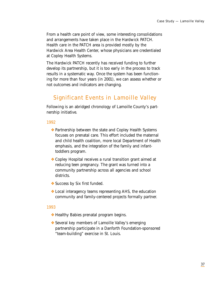From a health care point of view, some interesting consolidations and arrangements have taken place in the Hardwick PATCH. Health care in the PATCH area is provided mostly by the Hardwick Area Health Center, whose physicians are credentialed at Copley Health Systems.

The Hardwick PATCH recently has received funding to further develop its partnership, but it is too early in the process to track results in a systematic way. Once the system has been functioning for more than four years (in 2001), we can assess whether or not outcomes and indicators are changing.

## Significant Events in Lamoille Valley

Following is an abridged chronology of Lamoille County's partnership initiative.

## 1992

- ❖ Partnership between the state and Copley Health Systems focuses on prenatal care. This effort included the maternal and child health coalition, more local Department of Health emphasis, and the integration of the family and infanttoddlers program.
- ❖ Copley Hospital receives a rural transition grant aimed at reducing teen pregnancy. The grant was turned into a community partnership across all agencies and school districts.
- ❖ Success by Six first funded.
- ❖ Local interagency teams representing AHS, the education community and family-centered projects formally partner.

## 1993

- ❖ Healthy Babies prenatal program begins.
- ❖ Several key members of Lamoille Valley's emerging partnership participate in a Danforth Foundation-sponsored "team-building" exercise in St. Louis.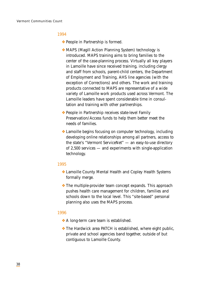#### 1994

- ❖ People in Partnership is formed.
- ❖ MAPS (Magill Action Planning System) technology is introduced. MAPS training aims to bring families to the center of the case-planning process. Virtually all key players in Lamoille have since received training, including clergy and staff from schools, parent-child centers, the Department of Employment and Training, AHS line agencies (with the exception of Corrections) and others. The work and training products connected to MAPS are representative of a wide variety of Lamoille work products used across Vermont. The Lamoille leaders have spent considerable time in consultation and training with other partnerships.
- ❖ People in Partnership receives state-level Family Preservation/Access funds to help them better meet the needs of families.
- ❖ Lamoille begins focusing on computer technology, including developing online relationships among all partners, access to the state's "Vermont ServiceNet" — an easy-to-use directory of 2,500 services — and experiments with single-application technology.

#### 1995

- ❖ Lamoille County Mental Health and Copley Health Systems formally merge.
- ❖ The multiple-provider team concept expands. This approach pushes health care management for children, families and schools down to the local level. This "site-based" personal planning also uses the MAPS process.

#### 1996

- ❖ A long-term care team is established.
- ❖ The Hardwick area PATCH is established, where eight public, private and school agencies band together, outside of but contiguous to Lamoille County.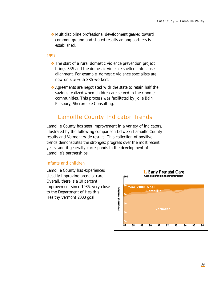❖ Multidiscipline professional development geared toward common ground and shared results among partners is established.

#### 1997

- ❖ The start of a rural domestic violence prevention project brings SRS and the domestic violence shelters into closer alignment. For example, domestic violence specialists are now on-site with SRS workers.
- ❖ Agreements are negotiated with the state to retain half the savings realized when children are served in their home communities. This process was facilitated by Jolie Bain Pillsbury, Sherbrooke Consulting.

## Lamoille County Indicator Trends

Lamoille County has seen improvement in a variety of indicators, illustrated by the following comparison between Lamoille County results and Vermont-wide results. This collection of positive trends demonstrates the strongest progress over the most recent years, and it generally corresponds to the development of Lamoille's partnerships.

## Infants and children

Lamoille County has experienced steadily improving prenatal care. Overall, there is a 10 percent improvement since 1986, very close to the Department of Health's Healthy Vermont 2000 goal.

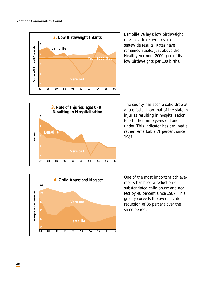

Lamoille Valley's low birthweight rates also track with overall statewide results. Rates have remained stable, just above the Healthy Vermont 2000 goal of five low birthweights per 100 births.



The county has seen a solid drop at a rate faster than that of the state in injuries resulting in hospitalization for children nine years old and under. This indicator has declined a rather remarkable 71 percent since 1987.



One of the most important achievements has been a reduction of substantiated child abuse and neglect by 48 percent since 1987. This greatly exceeds the overall state reduction of 35 percent over the same period.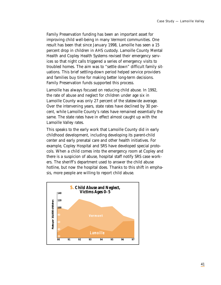Family Preservation funding has been an important asset for improving child well-being in many Vermont communities. One result has been that since January 1998, Lamoille has seen a 15 percent drop in children in AHS custody. Lamoille County Mental Health and Copley Health Systems revised their emergency services so that night calls triggered a series of emergency visits to troubled homes. The aim was to "settle down" difficult family situations. This brief settling-down period helped service providers and families buy time for making better long-term decisions. Family Preservation funds supported this process.

Lamoille has always focused on reducing child abuse. In 1992, the rate of abuse and neglect for children under age six in Lamoille County was only 27 percent of the statewide average. Over the intervening years, state rates have declined by 30 percent, while Lamoille County's rates have remained essentially the same. The state rates have in effect almost caught up with the Lamoille Valley rates.

This speaks to the early work that Lamoille County did in early childhood development, including developing its parent-child center and early prenatal care and other health initiatives. For example, Copley Hospital and SRS have developed special protocols. When a child comes into the emergency room at Copley and there is a suspicion of abuse, hospital staff notify SRS case workers. The sheriff's department used to answer the child abuse hotline, but now the hospital does. Thanks to this shift in emphasis, more people are willing to report child abuse.

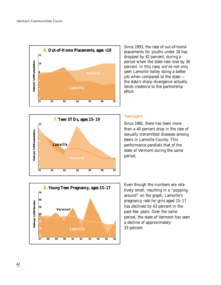



Since 1993, the rate of out-of-home placements for youths under 18 has dropped by 42 percent, during a period when the state rate rose by 30 percent. In this case, we've not only seen Lamoille Valley doing a better job when compared to the state the data's sharp divergence actually lends credence to the partnership effort.

## **Teenagers**

Since 1991, there has been more than a 40 percent drop in the rate of sexually transmitted diseases among teens in Lamoille County. This performance parallels that of the state of Vermont during the same period.



Even though the numbers are relatively small, resulting in a "popping around" on the graph, Lamoille's pregnancy rate for girls aged 15–17 has declined by 63 percent in the past few years. Over the same period, the state of Vermont has seen a decline of approximately 33 percent.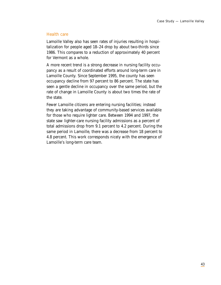## Health care

Lamoille Valley also has seen rates of injuries resulting in hospitalization for people aged 18–24 drop by about two-thirds since 1986. This compares to a reduction of approximately 40 percent for Vermont as a whole.

A more recent trend is a strong decrease in nursing facility occupancy as a result of coordinated efforts around long-term care in Lamoille County. Since September 1995, the county has seen occupancy decline from 97 percent to 86 percent. The state has seen a gentle decline in occupancy over the same period, but the rate of change in Lamoille County is about two times the rate of the state.

Fewer Lamoille citizens are entering nursing facilities; instead they are taking advantage of community-based services available for those who require lighter care. Between 1994 and 1997, the state saw lighter-care nursing facility admissions as a percent of total admissions drop from 9.1 percent to 4.2 percent. During the same period in Lamoille, there was a decrease from 18 percent to 4.8 percent. This work corresponds nicely with the emergence of Lamoille's long-term care team.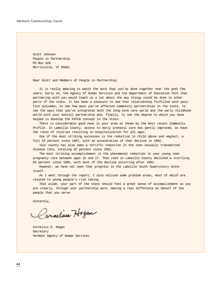Scott Johnson People in Partnership PO Box 929 Morrisville, VT 05661

Dear Scott and Members of People in Partnership:

It is really amazing to watch the work that you've done together over the past few years. Early on, the Agency of Human Services and the Department of Education felt that partnering with you would teach us a lot about the way things could be done in other parts of the state. It has been a pleasure to see that relationship fulfilled with positive outcomes, to see how much you've affected community partnerships in the state, to see the ways that you've integrated both the long-term care world and the early childhood world with your overall partnership and, finally, to see the degree to which you have helped to develop the PATCH concept in the state.

There is considerable good news in your area as shown by the most recent Community Profile. In Lamoille County, access to early prenatal care has gently improved, as have the rates of injuries resulting in hospitalization for all ages.

One of the most striking successes is the reduction in child abuse and neglect, a full 53 percent since 1987, with an acceleration of that decline in 1992.

Your county has also seen a terrific reduction in the teen sexually transmitted disease rate, totaling 42 percent since 1991.

The most striking accomplishment is the phenomenal reduction in your young teen pregnancy rate between ages 15 and 17. That rate in Lamoille County declined a startling 63 percent since 1986, with most of the decline occurring after 1991.

However, we have not seen that progress in the Lamoille South Supervisory Union itself.

As I went through the report, I also noticed some problem areas, most of which are related to young people's risk taking.

That aside, your part of the state should feel a great sense of accomplishment as you are clearly, through your partnership work, making a real difference on behalf of the people that you serve.

Sincerely,

arnelius Hogan

Cornelius D. Hogan Secretary Vermont Agency of Human Services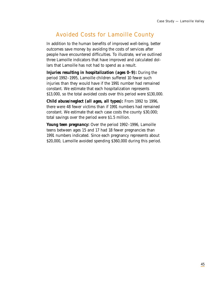## Avoided Costs for Lamoille County

In addition to the human benefits of improved well-being, better outcomes save money by avoiding the costs of services after people have encountered difficulties. To illustrate, we've outlined three Lamoille indicators that have improved and calculated dollars that Lamoille has not had to spend as a result.

*Injuries resulting in hospitalization (ages 0–9):* During the period 1992–1995, Lamoille children suffered 10 fewer such injuries than they would have if the 1991 number had remained constant. We estimate that each hospitalization represents \$13,000, so the total avoided costs over this period were \$130,000.

*Child abuse/neglect (all ages, all types):* From 1992 to 1996, there were 48 fewer victims than if 1991 numbers had remained constant. We estimate that each case costs the county \$30,000; total savings over the period were \$1.5 million.

*Young teen pregnancy:* Over the period 1992–1996, Lamoille teens between ages 15 and 17 had 18 fewer pregnancies than 1991 numbers indicated. Since each pregnancy represents about \$20,000, Lamoille avoided spending \$360,000 during this period.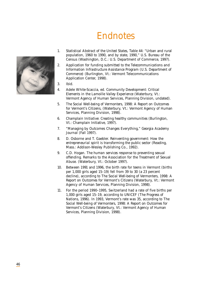# Endnotes



- 1. *Statistical Abstract of the United States, Table 44:* "Urban and rural population, 1960 to 1990, and by state, 1990," U.S. Bureau of the Census (Washington, D.C.: U.S. Department of Commerce, 1997).
- 2. *Application for funding submitted to the Telecommunications and Information Infrastructure Assistance Program (U.S. Department of Commerce)* (Burlington, Vt.: Vermont Telecommunications Application Center, 1998).
- 3. Ibid.
- 4. Adele White-Scaccia, ed. *Community Development: Critical Elements in the Lamoille Valley Experience* (Waterbury, Vt.: Vermont Agency of Human Services, Planning Division, undated).
- 5. *The Social Well-being of Vermonters, 1998: A Report on Outcomes for Vermont's Citizens,* (Waterbury, Vt.: Vermont Agency of Human Services, Planning Division, 1998).
- 6. *Champlain Initiative: Creating healthy communities* (Burlington, Vt.: Champlain Initiative, 1997).
- 7. "Managing by Outcomes Changes Everything," *Georgia Academy Journal* (Fall 1997).
- 8. D. Osborne and T. Gaebler. *Reinventing government: How the entrepreneurial spirit is transforming the public sector* (Reading, Mass.: Addison-Wesley Publishing Co., 1992).
- 9. C.D. Hogan. *The human services response to preventing sexual offending.* Remarks to the Association for the Treatment of Sexual Abuse. (Waterbury, Vt.: October 1997).
- 10. Between 1991 and 1996, the birth rate for teens in Vermont (births per 1,000 girls aged 15–19) fell from 39 to 30 (a 23 percent decline), according to *The Social Well-being of Vermonters, 1998: A Report on Outcomes for Vermont's Citizens* (Waterbury, Vt.: Vermont Agency of Human Services, Planning Division, 1998).
- 11. For the period 1990–1995, Switzerland had a rate of five births per 1,000 girls aged 15–19, according to UNICEF *(The Progress of Nations,* 1996). In 1993, Vermont's rate was 35, according to *The Social Well-being of Vermonters, 1998: A Report on Outcomes for Vermont's Citizens* (Waterbury, Vt.: Vermont Agency of Human Services, Planning Division, 1998).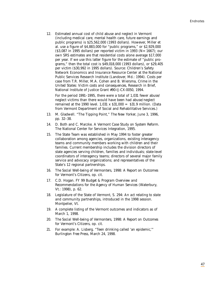12. Estimated annual cost of child abuse and neglect in Vermont (including medical care, mental health care, future earnings and public programs) is \$25,562,000 (1993 dollars). However, Miller et al. use a figure of \$4,883,000 for "public programs," or \$2,929,000  $($ \$3,087 in 1995 dollars) per reported victim in 1993 ( $N=1667$ ); our own SRS estimates are that residential costs alone average \$17,000 per year. If we use this latter figure for the estimate of "public programs," then the total cost is \$49,018,000 (1993 dollars), or \$29,405 per victim (\$30,992 in 1995 dollars). Source: Children's Safety Network Economics and Insurance Resource Center at the National Public Services Research Institute (Landover, Md.: 1994). Costs per case from T.R. Miller, M.A. Cohen and B. Wiersma, *Crime in the United States: Victim costs and consequences,* Research in Brief, National Institute of Justice Grant #90-IJ-CX-0050, 1994.

For the period 1991–1995, there were a total of 1,031 fewer abuse/ neglect victims than there would have been had abuse/neglect remained at the 1990 level.  $1,031 \times $31,000 = $31.9$  million. (Data from Vermont Department of Social and Rehabilitative Services.)

- 13. M. Gladwell. "The Tipping Point," *The New Yorker,* June 3, 1996, pp. 32–38.
- 14. D. Both and C. Marzke. *A Vermont Case Study on System Reform.* The National Center for Services Integration, 1995.
- 15. The State Team was established in May 1994 to foster greater collaboration among agencies, organizations, existing interagency teams and community members working with children and their families. Current membership includes the division directors of state agencies serving children, families and individuals; state-level coordinators of interagency teams; directors of several major family service and advocacy organizations; and representatives of the State's 12 regional partnerships.
- 16. *The Social Well-being of Vermonters, 1998: A Report on Outcomes for Vermont's Citizens,* op. cit.
- 17. C.D. Hogan. *FY 99 Budget & Program Overview and Recommendations for the Agency of Human Services* (Waterbury, Vt.: 1998), p. 62.
- 18. Legislature of the State of Vermont, S. 294: *An act relating to state and community partnerships,* introduced in the 1998 session. Montpelier, Vt.
- 19. A complete listing of the Vermont outcomes and indicators as of March 1, 1998.
- 20. *The Social Well-being of Vermonters, 1998: A Report on Outcomes for Vermont's Citizens,* op. cit.
- 21. For example: A. Lisberg. "Teen drinking called 'an epidemic,'" *Burlington Free Press,* March 24, 1998.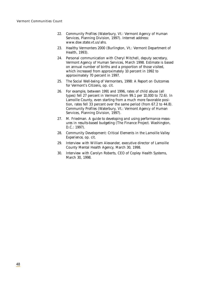- 22. *Community Profiles* (Waterbury, Vt.: Vermont Agency of Human Services, Planning Division, 1997). Internet address: www.dsw.state.vt.us/ahs.
- 23. *Healthy Vermonters 2000* (Burlington, Vt.: Vermont Department of Health, 1993).
- 24. Personal communication with Cheryl Mitchell, deputy secretary, Vermont Agency of Human Services, March 1998. Estimate is based on annual number of births and a proportion of those visited, which increased from approximately 10 percent in 1992 to approximately 70 percent in 1997.
- 25. *The Social Well-being of Vermonters, 1998: A Report on Outcomes for Vermont's Citizens,* op. cit.
- 26. For example, between 1991 and 1996, rates of child abuse (all types) fell 27 percent in Vermont (from 99.1 per 10,000 to 72.6). In Lamoille County, even starting from a much more favorable position, rates fell 33 percent over the same period (from 67.2 to 44.8). *Community Profiles* (Waterbury, Vt.: Vermont Agency of Human Services, Planning Division, 1997).
- 27. M. Friedman. *A guide to developing and using performance measures in results-based budgeting* (The Finance Project. Washington, D.C.: 1997).
- 28. *Community Development: Critical Elements in the Lamoille Valley Experience,* op. cit.
- 29. Interview with William Alexander, executive director of Lamoille County Mental Health Agency, March 30, 1998.
- 30. Interview with Carolyn Roberts, CEO of Copley Health Systems, March 30, 1998.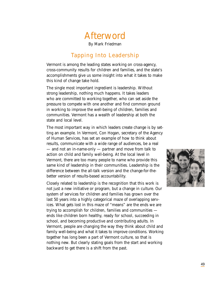## Afterword

By Mark Friedman

## Tapping Into Leadership

Vermont is among the leading states working on cross-agency, cross-community results for children and families, and the state's accomplishments give us some insight into what it takes to make this kind of change take hold.

The single most important ingredient is leadership. Without strong leadership, nothing much happens. It takes leaders who are committed to working together, who can set aside the pressure to compete with one another and find common ground in working to improve the well-being of children, families and communities. Vermont has a wealth of leadership at both the state and local level.

The most important way in which leaders create change is by setting an example. In Vermont, Con Hogan, secretary of the Agency of Human Services, has set an example of how to think about results, communicate with a wide range of audiences, be a real — and not an in-name-only — partner and move from talk to action on child and family well-being. At the local level in Vermont, there are too many people to name who provide this same kind of leadership in their communities. Leadership is the difference between the all-talk version and the change-for-thebetter version of results-based accountability.

Closely related to leadership is the recognition that this work is not just a new initiative or program, but a change in culture. Our system of services for children and families has grown over the last 50 years into a highly categorical maze of overlapping services. What gets lost in this maze of "means" are the ends we are trying to accomplish for children, families and communities ends like children born healthy, ready for school, succeeding in school, and becoming productive and contributing adults. In Vermont, people are changing the way they think about child and family well-being and what it takes to improve conditions. Working together has long been a part of Vermont culture, so that is nothing new. But clearly stating goals from the start and working backward to get there is a shift from the past.

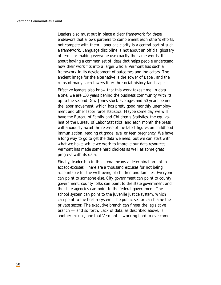Leaders also must put in place a clear framework for these endeavors that allows partners to complement each other's efforts, not compete with them. Language clarity is a central part of such a framework. Language discipline is not about an official glossary of terms or making everyone use exactly the same words. It's about having a common set of ideas that helps people understand how their work fits into a larger whole. Vermont has such a framework in its development of outcomes and indicators. The ancient image for the alternative is the Tower of Babel, and the ruins of many such towers litter the social history landscape.

Effective leaders also know that this work takes time. In data alone, we are 100 years behind the business community with its up-to-the-second Dow Jones stock averages and 50 years behind the labor movement, which has pretty good monthly unemployment and other labor force statistics. Maybe some day we will have the Bureau of Family and Children's Statistics, the equivalent of the Bureau of Labor Statistics, and each month the press will anxiously await the release of the latest figures on childhood immunization, reading at grade level or teen pregnancy. We have a long way to go to get the data we need, but we can start with what we have, while we work to improve our data resources. Vermont has made some hard choices as well as some great progress with its data.

Finally, leadership in this arena means a determination not to accept excuses. There are a thousand excuses for not being accountable for the well-being of children and families. Everyone can point to someone else. City government can point to county government, county folks can point to the state government and the state agencies can point to the federal government. The school system can point to the juvenile justice system, which can point to the health system. The public sector can blame the private sector. The executive branch can finger the legislative branch — and so forth. Lack of data, as described above, is another excuse, one that Vermont is working hard to overcome.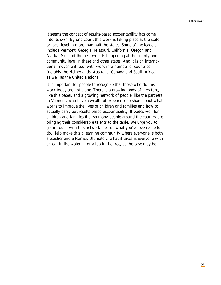It seems the concept of results-based accountability has come into its own. By one count this work is taking place at the state or local level in more than half the states. Some of the leaders include Vermont, Georgia, Missouri, California, Oregon and Alaska. Much of the best work is happening at the county and community level in these and other states. And it is an international movement, too, with work in a number of countries (notably the Netherlands, Australia, Canada and South Africa) as well as the United Nations.

It is important for people to recognize that those who do this work today are not alone. There is a growing body of literature, like this paper, and a growing network of people, like the partners in Vermont, who have a wealth of experience to share about what works to improve the lives of children and families and how to actually carry out results-based accountability. It bodes well for children and families that so many people around the country are bringing their considerable talents to the table. We urge you to get in touch with this network. Tell us what you've been able to do. Help make this a learning community where everyone is both a teacher and a learner. Ultimately, what it takes is everyone with an oar in the water — or a tap in the tree, as the case may be.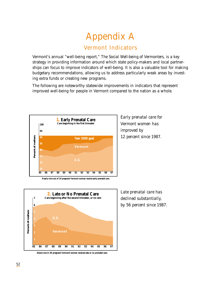# Appendix A Vermont Indicators

Vermont's annual "well-being report," *The Social Well-being of Vermonters*, is a key strategy in providing information around which state policy-makers and local partnerships can focus to improve indicators of well-being. It is also a valuable tool for making budgetary recommendations, allowing us to address particularly weak areas by investing extra funds or creating new programs.

The following are noteworthy statewide improvements in indicators that represent improved well-being for people in Vermont compared to the nation as a whole.



**Nearly nine out of 10 pregnant Vermont women receive early prenatal care.**



**About one in 50 pregnant Vermont women receives late or no prenatal care.**

*Early prenatal care for Vermont women has improved by 12 percent since 1987.*

*Late prenatal care has declined substantially, by 56 percent since 1987.*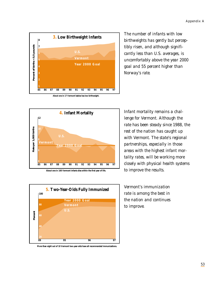

*The number of infants with low birthweights has gently but perceptibly risen, and although significantly less than U.S. averages, is uncomfortably above the year 2000 goal and 55 percent higher than Norway's rate.* 



**About one in 160 Vermont infants dies within the first year of life.**



**More than eight out of 10 Vermont two-year-olds have all recommended immunizations.**

*Infant mortality remains a challenge for Vermont. Although the rate has been steady since 1988, the rest of the nation has caught up with Vermont. The state's regional partnerships, especially in those areas with the highest infant mortality rates, will be working more closely with physical health systems to improve the results.*

*Vermont's immunization rate is among the best in the nation and continues to improve.*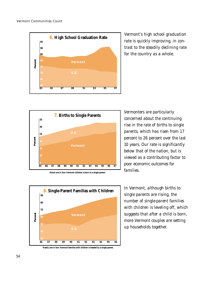

*Vermont's high school graduation rate is quickly improving, in contrast to the steadily declining rate for the country as a whole.*



**About one in four Vermont children is born to a single parent.**



**Nearly one in four Vermont families with children is headed by a single parent.**

*Vermonters are particularly concerned about the continuing rise in the rate of births to single parents, which has risen from 17 percent to 26 percent over the last 10 years. Our rate is significantly below that of the nation, but is viewed as a contributing factor to poor economic outcomes for families.*

*In Vermont, although births to single parents are rising, the number of single-parent families with children is leveling off, which suggests that after a child is born, more Vermont couples are setting up households together.*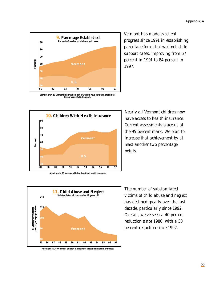

*Vermont has made excellent progress since 1991 in establishing parentage for out-of-wedlock child support cases, improving from 57 percent in 1991 to 84 percent in 1997.*

**Eight of every 10 Vermont children born out of wedlock have parentage established for purposes of child support.**



*Nearly all Vermont children now have access to health insurance. Current assessments place us at the 95 percent mark. We plan to increase that achievement by at least another two percentage points.*



**About one in 140 Vermont children is a victim of substantiated abuse or neglect.**

*The number of substantiated victims of child abuse and neglect has declined greatly over the last decade, particularly since 1992. Overall, we've seen a 40 percent reduction since 1986, with a 30 percent reduction since 1992.*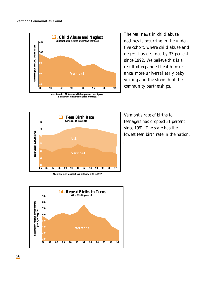

**is a victim of substantiated abuse or neglect.**

*The real news in child abuse declines is occurring in the underfive cohort, where child abuse and neglect has declined by 33 percent since 1992. We believe this is a result of expanded health insurance, more universal early baby visiting and the strength of the community partnerships.*



*Vermont's rate of births to teenagers has dropped 31 percent since 1991. The state has the lowest teen birth rate in the nation.*





*56*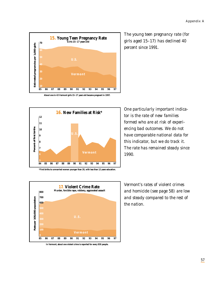

**About one in 43 Vermont girls 15–17 years old became pregnant in 1997.**



*The young teen pregnancy rate (for girls aged 15–17) has declined 40 percent since 1991.*

*One particularly important indicator is the rate of new families formed who are at risk of experiencing bad outcomes. We do not have comparable national data for this indicator, but we do track it. The rate has remained steady since 1990.*



**In Vermont, about one violent crime is reported for every 830 people.**

*Vermont's rates of violent crimes and homicide (see page 58) are low and steady compared to the rest of the nation.*

*57*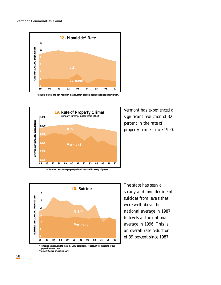

**\*Includes murder and non-negligent manslaughter; excludes death due to legal intervention.**



*Vermont has experienced a significant reduction of 32 percent in the rate of property crimes since 1990.*



*The state has seen a steady and long decline of suicides from levels that were well above the national average in 1987 to levels at the national average in 1996. This is an overall rate reduction of 39 percent since 1987.*

**\* Rates are age-adjusted to the U.S. 1940 population, to account for the aging of our population over time. \*\*U.S. 1996 data are preliminary.**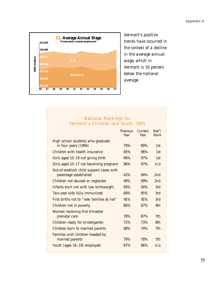Appendix A



*Vermont's positive trends have occurred in the context of a decline in the average annual wage, which in Vermont is 16 percent below the national average.*

## National Rankings for Vermont's Children and Youth, 1995

|                                                                  | <b>Previous</b><br>Year | Current<br>Year | Nat'l.<br>Rank  |
|------------------------------------------------------------------|-------------------------|-----------------|-----------------|
| High school students who graduate<br>in four years (1994)        | 79%                     | 89%             | 1st             |
| Children with health insurance                                   | 85%                     | 96%             | 1st             |
| Girls aged 15–19 not giving birth                                | 96%                     | 97%             | 1st             |
| Girls aged 15-17 not becoming pregnant                           | 96%                     | 97%             | n/a             |
| Out-of-wedlock child support cases with<br>parentage established | 42%                     | 84%             | 2 <sub>nd</sub> |
| Children not abused or neglected                                 | 99%                     | 99%             | 2 <sub>nd</sub> |
| Infants born not with low birthweight                            | 94%                     | 94%             | 3rd             |
| Two-year-olds fully immunized                                    | 68%                     | 85%             | 3rd             |
| First births not to "new families at risk"                       | 91%                     | 91%             | 3rd             |
| Children not in poverty                                          | 86%                     | 87%             | 4th             |
| Women receiving first trimester<br>prenatal care                 | 78%                     | 87%             | 7 <sub>th</sub> |
| Children ready for kindergarten                                  | 72%                     | 73%             | 8th             |
| Children born to married parents                                 | 88%                     | 74%             | 7 <sub>th</sub> |
| Families with children headed by<br>married parents              | 79%                     | 78%             | 7th             |
| Youth (ages 16-19) employed                                      | 87%                     | 86%             | n/a             |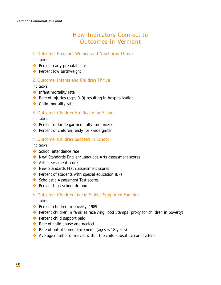## How Indicators Connect to Outcomes in Vermont

## 1. Outcome: Pregnant Women and Newborns Thrive

*Indicators:*

- ❖ Percent early prenatal care
- ❖ Percent low birthweight

## 2. Outcome: Infants and Children Thrive

*Indicators:*

- ❖ Infant mortality rate
- ❖ Rate of injuries (ages 0–9) resulting in hospitalization
- ❖ Child mortality rate

## 3. Outcome: Children Are Ready for School

*Indicators:*

- ❖ Percent of kindergartners fully immunized
- ❖ Percent of children ready for kindergarten

#### 4. Outcome: Children Succeed in School

*Indicators:*

- ❖ School attendance rate
- ❖ New Standards English/Language Arts assessment scores
- ❖ Arts assessment scores
- ❖ New Standards Math assessment scores
- ❖ Percent of students with special education IEPs
- ❖ Scholastic Assessment Test scores
- ❖ Percent high school dropouts

## 5. Outcome: Children Live in Stable, Supported Families

#### *Indicators:*

- ❖ Percent children in poverty, 1989
- ❖ Percent children in families receiving Food Stamps (proxy for children in poverty)
- ❖ Percent child support paid
- ❖ Rate of child abuse and neglect
- $\triangleleft$  Rate of out-of-home placements (ages < 18 years)
- ❖ Average number of moves within the child substitute care system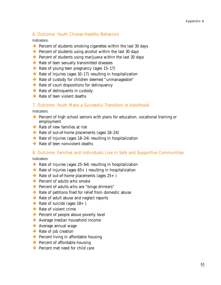## 6. Outcome: Youth Choose Healthy Behaviors

*Indicators:*

- ❖ Percent of students smoking cigarettes within the last 30 days
- ❖ Percent of students using alcohol within the last 30 days
- ❖ Percent of students using marijuana within the last 30 days
- ❖ Rate of teen sexually transmitted diseases
- $\triangleleft$  Rate of young teen pregnancy (ages 15–17)
- $\triangle$  Rate of injuries (ages 10–17) resulting in hospitalization
- ❖ Rate of custody for children deemed "unmanageable"
- ❖ Rate of court dispositions for delinquency
- ❖ Rate of delinquents in custody
- ❖ Rate of teen violent deaths

## 7. Outcome: Youth Make a Successful Transition to Adulthood

*Indicators:*

- ❖ Percent of high school seniors with plans for education, vocational training or employment
- ❖ Rate of new families at risk
- ❖ Rate of out-of-home placements (ages 18–24)
- ❖ Rate of injuries (ages 18–24) resulting in hospitalization
- ❖ Rate of teen nonviolent deaths

## 8. Outcome: Families and Individuals Live in Safe and Supportive Communities

*Indicators:*

- $\triangle$  Rate of injuries (ages 25–64) resulting in hospitalization
- $\triangleleft$  Rate of injuries (ages 65+) resulting in hospitalization
- $\triangleleft$  Rate of out-of-home placements (ages 25+)
- ❖ Percent of adults who smoke
- ❖ Percent of adults who are "binge drinkers"
- ❖ Rate of petitions filed for relief from domestic abuse
- ❖ Rate of adult abuse and neglect reports
- $\triangleleft$  Rate of suicide (ages 18+)
- ❖ Rate of violent crime
- ❖ Percent of people above poverty level
- ❖ Average median household income
- ❖ Average annual wage
- ❖ Rate of job creation
- ❖ Percent living in affordable housing
- ❖ Percent of affordable housing
- ❖ Percent met need for child care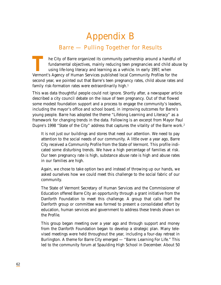# Appendix B Barre — Pulling Together for Results

TRIFT THE City of Barre organized its community partnership around a handful of fundamental objectives, mainly reducing teen pregnancies and child abuse using life-long literacy and learning as a vehicle. In early 1997, wh fundamental objectives, mainly reducing teen pregnancies and child abuse by using life-long literacy and learning as a vehicle. In early 1997, when Vermont's Agency of Human Services published local *Community Profiles* for the second year, we pointed out that Barre's teen pregnancy rates, child abuse rates and family risk-formation rates were extraordinarily high.<sup>1</sup>

This was data thoughtful people could not ignore. Shortly after, a newspaper article described a city council debate on the issue of teen pregnancy. Out of that flowed some modest foundation support and a process to engage the community's leaders, including the mayor's office and school board, in improving outcomes for Barre's young people. Barre has adopted the theme "Lifelong Learning and Literacy" as a framework for changing trends in the data. Following is an excerpt from Mayor Paul Dupre's 1998 "State of the City" address that captures the vitality of the Barre work.<sup>2</sup>

It is not just our buildings and stores that need our attention. We need to pay attention to the social needs of our community. A little over a year ago, Barre City received a *Community Profile* from the State of Vermont. This profile indicated some disturbing trends. We have a high percentage of families at risk. Our teen pregnancy rate is high, substance abuse rate is high and abuse rates in our families are high.

Again, we chose to take option two and instead of throwing up our hands, we asked ourselves how we could meet this challenge to the social fabric of our community.

The State of Vermont Secretary of Human Services and the Commissioner of Education offered Barre City an opportunity through a grant initiative from the Danforth Foundation to meet this challenge. A group that calls itself the Danforth group or committee was formed to present a consolidated effort by education, human services and government to address these trends shown on the *Profile.*

This group began meeting over a year ago and through support and money from the Danforth Foundation began to develop a strategic plan. Many televised meetings were held throughout the year, including a four-day retreat in Burlington. A theme for Barre City emerged — "Barre: Learning For Life." This led to the community forum at Spaulding High School in December. About 50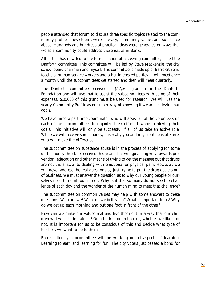people attended that forum to discuss three specific topics related to the community profile. These topics were: literacy, community values and substance abuse. Hundreds and hundreds of practical ideas were generated on ways that we as a community could address these issues in Barre.

All of this has now led to the formalization of a steering committee, called the Danforth committee. This committee will be led by Steve Mackenzie, the city school board chairman and myself. The committee is made up of Barre citizens, teachers, human service workers and other interested parties. It will meet once a month until the subcommittees get started and then will meet quarterly.

The Danforth committee received a \$17,500 grant from the Danforth Foundation and will use that to assist the subcommittees with some of their expenses. \$10,000 of this grant must be used for research. We will use the yearly *Community Profile* as our main way of knowing if we are achieving our goals.

We have hired a part-time coordinator who will assist all of the volunteers on each of the subcommittees to organize their efforts towards achieving their goals. This initiative will only be successful if all of us take an active role. While we will receive some money, it is really you and me, as citizens of Barre, who will make the difference.

The subcommittee on substance abuse is in the process of applying for some of the money the state received this year. That will go a long way towards prevention, education and other means of trying to get the message out that drugs are not the answer to dealing with emotional or physical pain. However, we will never address the real questions by just trying to put the drug dealers out of business. We must answer the question as to why our young people or ourselves need to numb our minds. Why is it that so many do not see the challenge of each day and the wonder of the human mind to meet that challenge?

The subcommittee on common values may help with some answers to these questions. Who are we? What do we believe in? What is important to us? Why do we get up each morning and put one foot in front of the other?

How can we make our values real and live them out in a way that our children will want to imitate us? Our children do imitate us, whether we like it or not. It is important for us to be conscious of this and decide what type of teachers we want to be to them.

Barre's literacy subcommittee will be working on all aspects of learning. Learning to earn and learning for fun. The city voters just passed a bond for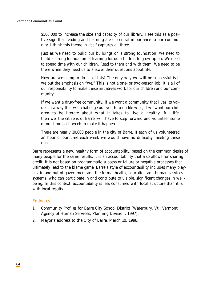\$500,000 to increase the size and capacity of our library. I see this as a positive sign that reading and learning are of central importance to our community. I think this theme in itself captures all three.

Just as we need to build our buildings on a strong foundation, we need to build a strong foundation of learning for our children to grow up on. We need to spend time with our children. Read to them and with them. We need to be there when they need us to answer their questions about life.

How are we going to do all of this? The only way we will be successful is if we put the emphasis on "we." This is not a one- or two-person job. It is all of our responsibility to make these initiatives work for our children and our community.

If we want a drug-free community, if we want a community that lives its values in a way that will challenge our youth to do likewise, if we want our children to be literate about what it takes to live a healthy, full life, then we, the citizens of Barre, will have to step forward and volunteer some of our time each week to make it happen.

There are nearly 10,000 people in the city of Barre. If each of us volunteered an hour of our time each week we would have no difficulty meeting these needs.

Barre represents a new, healthy form of accountability, based on the common desire of many people for the same results. It is an accountability that also allows for sharing credit. It is not based on programmatic success or failure or negative processes that ultimately lead to the blame game. Barre's style of accountability includes many players, in and out of government and the formal health, education and human services systems, who can participate in and contribute to visible, significant changes in wellbeing. In this context, accountability is less consumed with local structure than it is with local results.

## Endnotes

- 1. *Community Profiles* for Barre City School District (Waterbury, Vt.: Vermont Agency of Human Services, Planning Division, 1997).
- 2. Mayor's address to the City of Barre, March 10, 1998.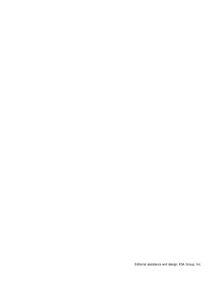Editorial assistance and design: KSA Group, Inc.